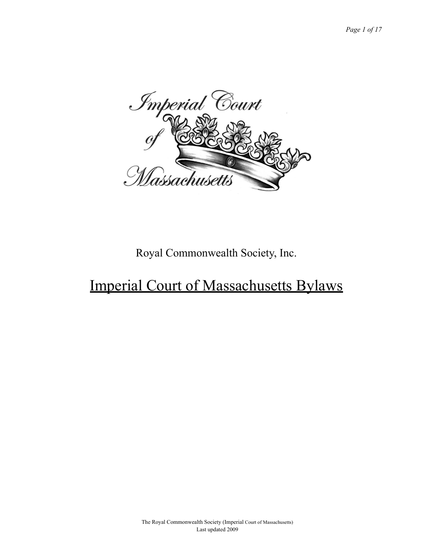

# Royal Commonwealth Society, Inc.

# Imperial Court of Massachusetts Bylaws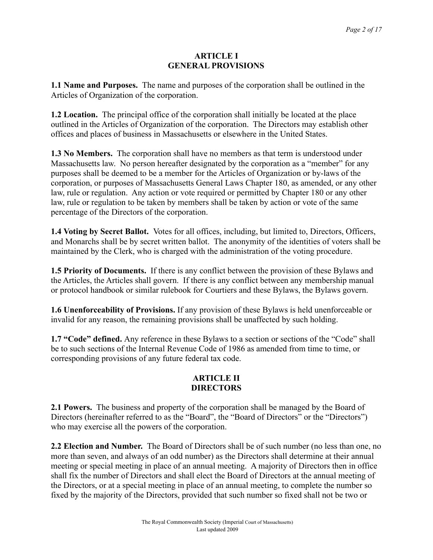#### **ARTICLE I GENERAL PROVISIONS**

**1.1 Name and Purposes.** The name and purposes of the corporation shall be outlined in the Articles of Organization of the corporation.

**1.2 Location.** The principal office of the corporation shall initially be located at the place outlined in the Articles of Organization of the corporation. The Directors may establish other offices and places of business in Massachusetts or elsewhere in the United States.

**1.3 No Members.** The corporation shall have no members as that term is understood under Massachusetts law. No person hereafter designated by the corporation as a "member" for any purposes shall be deemed to be a member for the Articles of Organization or by-laws of the corporation, or purposes of Massachusetts General Laws Chapter 180, as amended, or any other law, rule or regulation. Any action or vote required or permitted by Chapter 180 or any other law, rule or regulation to be taken by members shall be taken by action or vote of the same percentage of the Directors of the corporation.

**1.4 Voting by Secret Ballot.** Votes for all offices, including, but limited to, Directors, Officers, and Monarchs shall be by secret written ballot. The anonymity of the identities of voters shall be maintained by the Clerk, who is charged with the administration of the voting procedure.

**1.5 Priority of Documents.** If there is any conflict between the provision of these Bylaws and the Articles, the Articles shall govern. If there is any conflict between any membership manual or protocol handbook or similar rulebook for Courtiers and these Bylaws, the Bylaws govern.

**1.6 Unenforceability of Provisions.** If any provision of these Bylaws is held unenforceable or invalid for any reason, the remaining provisions shall be unaffected by such holding.

**1.7 "Code" defined.** Any reference in these Bylaws to a section or sections of the "Code" shall be to such sections of the Internal Revenue Code of 1986 as amended from time to time, or corresponding provisions of any future federal tax code.

# **ARTICLE II DIRECTORS**

**2.1 Powers.** The business and property of the corporation shall be managed by the Board of Directors (hereinafter referred to as the "Board", the "Board of Directors" or the "Directors") who may exercise all the powers of the corporation.

**2.2 Election and Number.** The Board of Directors shall be of such number (no less than one, no more than seven, and always of an odd number) as the Directors shall determine at their annual meeting or special meeting in place of an annual meeting. A majority of Directors then in office shall fix the number of Directors and shall elect the Board of Directors at the annual meeting of the Directors, or at a special meeting in place of an annual meeting, to complete the number so fixed by the majority of the Directors, provided that such number so fixed shall not be two or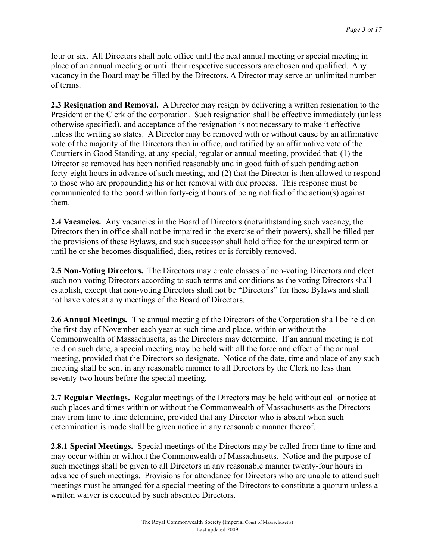four or six. All Directors shall hold office until the next annual meeting or special meeting in place of an annual meeting or until their respective successors are chosen and qualified. Any vacancy in the Board may be filled by the Directors. A Director may serve an unlimited number of terms.

**2.3 Resignation and Removal.** A Director may resign by delivering a written resignation to the President or the Clerk of the corporation. Such resignation shall be effective immediately (unless otherwise specified), and acceptance of the resignation is not necessary to make it effective unless the writing so states. A Director may be removed with or without cause by an affirmative vote of the majority of the Directors then in office, and ratified by an affirmative vote of the Courtiers in Good Standing, at any special, regular or annual meeting, provided that: (1) the Director so removed has been notified reasonably and in good faith of such pending action forty-eight hours in advance of such meeting, and (2) that the Director is then allowed to respond to those who are propounding his or her removal with due process. This response must be communicated to the board within forty-eight hours of being notified of the action(s) against them.

**2.4 Vacancies.** Any vacancies in the Board of Directors (notwithstanding such vacancy, the Directors then in office shall not be impaired in the exercise of their powers), shall be filled per the provisions of these Bylaws, and such successor shall hold office for the unexpired term or until he or she becomes disqualified, dies, retires or is forcibly removed.

**2.5 Non-Voting Directors.** The Directors may create classes of non-voting Directors and elect such non-voting Directors according to such terms and conditions as the voting Directors shall establish, except that non-voting Directors shall not be "Directors" for these Bylaws and shall not have votes at any meetings of the Board of Directors.

**2.6 Annual Meetings.** The annual meeting of the Directors of the Corporation shall be held on the first day of November each year at such time and place, within or without the Commonwealth of Massachusetts, as the Directors may determine. If an annual meeting is not held on such date, a special meeting may be held with all the force and effect of the annual meeting, provided that the Directors so designate. Notice of the date, time and place of any such meeting shall be sent in any reasonable manner to all Directors by the Clerk no less than seventy-two hours before the special meeting.

**2.7 Regular Meetings.** Regular meetings of the Directors may be held without call or notice at such places and times within or without the Commonwealth of Massachusetts as the Directors may from time to time determine, provided that any Director who is absent when such determination is made shall be given notice in any reasonable manner thereof.

**2.8.1 Special Meetings.** Special meetings of the Directors may be called from time to time and may occur within or without the Commonwealth of Massachusetts. Notice and the purpose of such meetings shall be given to all Directors in any reasonable manner twenty-four hours in advance of such meetings. Provisions for attendance for Directors who are unable to attend such meetings must be arranged for a special meeting of the Directors to constitute a quorum unless a written waiver is executed by such absentee Directors.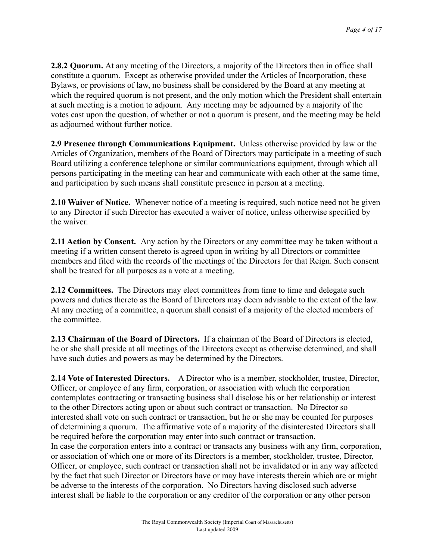**2.8.2 Quorum.** At any meeting of the Directors, a majority of the Directors then in office shall constitute a quorum. Except as otherwise provided under the Articles of Incorporation, these Bylaws, or provisions of law, no business shall be considered by the Board at any meeting at which the required quorum is not present, and the only motion which the President shall entertain at such meeting is a motion to adjourn. Any meeting may be adjourned by a majority of the votes cast upon the question, of whether or not a quorum is present, and the meeting may be held as adjourned without further notice.

**2.9 Presence through Communications Equipment.** Unless otherwise provided by law or the Articles of Organization, members of the Board of Directors may participate in a meeting of such Board utilizing a conference telephone or similar communications equipment, through which all persons participating in the meeting can hear and communicate with each other at the same time, and participation by such means shall constitute presence in person at a meeting.

**2.10 Waiver of Notice.** Whenever notice of a meeting is required, such notice need not be given to any Director if such Director has executed a waiver of notice, unless otherwise specified by the waiver.

**2.11 Action by Consent.** Any action by the Directors or any committee may be taken without a meeting if a written consent thereto is agreed upon in writing by all Directors or committee members and filed with the records of the meetings of the Directors for that Reign. Such consent shall be treated for all purposes as a vote at a meeting.

**2.12 Committees.** The Directors may elect committees from time to time and delegate such powers and duties thereto as the Board of Directors may deem advisable to the extent of the law. At any meeting of a committee, a quorum shall consist of a majority of the elected members of the committee.

**2.13 Chairman of the Board of Directors.** If a chairman of the Board of Directors is elected, he or she shall preside at all meetings of the Directors except as otherwise determined, and shall have such duties and powers as may be determined by the Directors.

**2.14 Vote of Interested Directors.** A Director who is a member, stockholder, trustee, Director, Officer, or employee of any firm, corporation, or association with which the corporation contemplates contracting or transacting business shall disclose his or her relationship or interest to the other Directors acting upon or about such contract or transaction. No Director so interested shall vote on such contract or transaction, but he or she may be counted for purposes of determining a quorum. The affirmative vote of a majority of the disinterested Directors shall be required before the corporation may enter into such contract or transaction.

In case the corporation enters into a contract or transacts any business with any firm, corporation, or association of which one or more of its Directors is a member, stockholder, trustee, Director, Officer, or employee, such contract or transaction shall not be invalidated or in any way affected by the fact that such Director or Directors have or may have interests therein which are or might be adverse to the interests of the corporation. No Directors having disclosed such adverse interest shall be liable to the corporation or any creditor of the corporation or any other person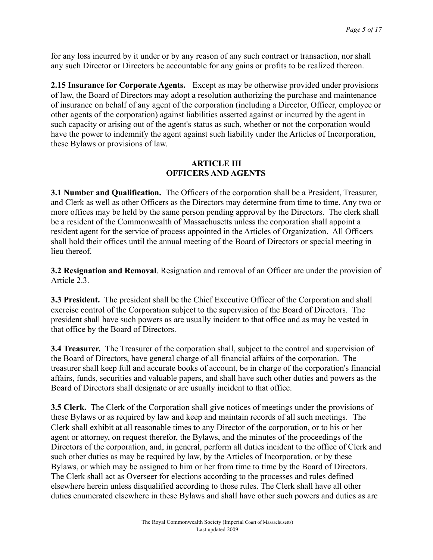for any loss incurred by it under or by any reason of any such contract or transaction, nor shall any such Director or Directors be accountable for any gains or profits to be realized thereon.

**2.15 Insurance for Corporate Agents.** Except as may be otherwise provided under provisions of law, the Board of Directors may adopt a resolution authorizing the purchase and maintenance of insurance on behalf of any agent of the corporation (including a Director, Officer, employee or other agents of the corporation) against liabilities asserted against or incurred by the agent in such capacity or arising out of the agent's status as such, whether or not the corporation would have the power to indemnify the agent against such liability under the Articles of Incorporation, these Bylaws or provisions of law.

#### **ARTICLE III OFFICERS AND AGENTS**

**3.1 Number and Qualification.** The Officers of the corporation shall be a President, Treasurer, and Clerk as well as other Officers as the Directors may determine from time to time. Any two or more offices may be held by the same person pending approval by the Directors. The clerk shall be a resident of the Commonwealth of Massachusetts unless the corporation shall appoint a resident agent for the service of process appointed in the Articles of Organization. All Officers shall hold their offices until the annual meeting of the Board of Directors or special meeting in lieu thereof.

**3.2 Resignation and Removal**. Resignation and removal of an Officer are under the provision of Article 2.3.

**3.3 President.** The president shall be the Chief Executive Officer of the Corporation and shall exercise control of the Corporation subject to the supervision of the Board of Directors. The president shall have such powers as are usually incident to that office and as may be vested in that office by the Board of Directors.

**3.4 Treasurer.** The Treasurer of the corporation shall, subject to the control and supervision of the Board of Directors, have general charge of all financial affairs of the corporation. The treasurer shall keep full and accurate books of account, be in charge of the corporation's financial affairs, funds, securities and valuable papers, and shall have such other duties and powers as the Board of Directors shall designate or are usually incident to that office.

**3.5 Clerk.** The Clerk of the Corporation shall give notices of meetings under the provisions of these Bylaws or as required by law and keep and maintain records of all such meetings. The Clerk shall exhibit at all reasonable times to any Director of the corporation, or to his or her agent or attorney, on request therefor, the Bylaws, and the minutes of the proceedings of the Directors of the corporation, and, in general, perform all duties incident to the office of Clerk and such other duties as may be required by law, by the Articles of Incorporation, or by these Bylaws, or which may be assigned to him or her from time to time by the Board of Directors. The Clerk shall act as Overseer for elections according to the processes and rules defined elsewhere herein unless disqualified according to those rules. The Clerk shall have all other duties enumerated elsewhere in these Bylaws and shall have other such powers and duties as are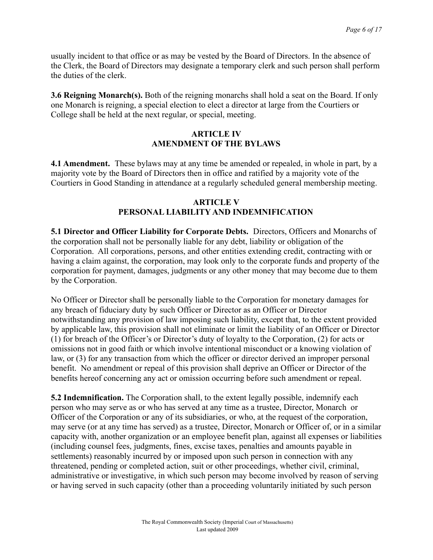usually incident to that office or as may be vested by the Board of Directors. In the absence of the Clerk, the Board of Directors may designate a temporary clerk and such person shall perform the duties of the clerk.

**3.6 Reigning Monarch(s).** Both of the reigning monarchs shall hold a seat on the Board. If only one Monarch is reigning, a special election to elect a director at large from the Courtiers or College shall be held at the next regular, or special, meeting.

# **ARTICLE IV AMENDMENT OF THE BYLAWS**

**4.1 Amendment.** These bylaws may at any time be amended or repealed, in whole in part, by a majority vote by the Board of Directors then in office and ratified by a majority vote of the Courtiers in Good Standing in attendance at a regularly scheduled general membership meeting.

### **ARTICLE V PERSONAL LIABILITY AND INDEMNIFICATION**

**5.1 Director and Officer Liability for Corporate Debts.** Directors, Officers and Monarchs of the corporation shall not be personally liable for any debt, liability or obligation of the Corporation. All corporations, persons, and other entities extending credit, contracting with or having a claim against, the corporation, may look only to the corporate funds and property of the corporation for payment, damages, judgments or any other money that may become due to them by the Corporation.

No Officer or Director shall be personally liable to the Corporation for monetary damages for any breach of fiduciary duty by such Officer or Director as an Officer or Director notwithstanding any provision of law imposing such liability, except that, to the extent provided by applicable law, this provision shall not eliminate or limit the liability of an Officer or Director (1) for breach of the Officer's or Director's duty of loyalty to the Corporation, (2) for acts or omissions not in good faith or which involve intentional misconduct or a knowing violation of law, or (3) for any transaction from which the officer or director derived an improper personal benefit. No amendment or repeal of this provision shall deprive an Officer or Director of the benefits hereof concerning any act or omission occurring before such amendment or repeal.

**5.2 Indemnification.** The Corporation shall, to the extent legally possible, indemnify each person who may serve as or who has served at any time as a trustee, Director, Monarch or Officer of the Corporation or any of its subsidiaries, or who, at the request of the corporation, may serve (or at any time has served) as a trustee, Director, Monarch or Officer of, or in a similar capacity with, another organization or an employee benefit plan, against all expenses or liabilities (including counsel fees, judgments, fines, excise taxes, penalties and amounts payable in settlements) reasonably incurred by or imposed upon such person in connection with any threatened, pending or completed action, suit or other proceedings, whether civil, criminal, administrative or investigative, in which such person may become involved by reason of serving or having served in such capacity (other than a proceeding voluntarily initiated by such person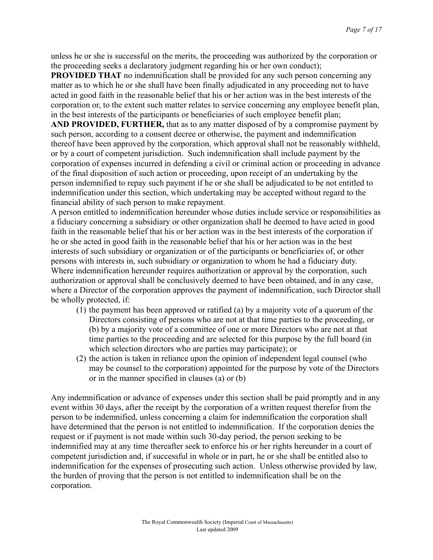unless he or she is successful on the merits, the proceeding was authorized by the corporation or the proceeding seeks a declaratory judgment regarding his or her own conduct);

**PROVIDED THAT** no indemnification shall be provided for any such person concerning any matter as to which he or she shall have been finally adjudicated in any proceeding not to have acted in good faith in the reasonable belief that his or her action was in the best interests of the corporation or, to the extent such matter relates to service concerning any employee benefit plan, in the best interests of the participants or beneficiaries of such employee benefit plan;

**AND PROVIDED, FURTHER,** that as to any matter disposed of by a compromise payment by such person, according to a consent decree or otherwise, the payment and indemnification thereof have been approved by the corporation, which approval shall not be reasonably withheld, or by a court of competent jurisdiction. Such indemnification shall include payment by the corporation of expenses incurred in defending a civil or criminal action or proceeding in advance of the final disposition of such action or proceeding, upon receipt of an undertaking by the person indemnified to repay such payment if he or she shall be adjudicated to be not entitled to indemnification under this section, which undertaking may be accepted without regard to the financial ability of such person to make repayment.

A person entitled to indemnification hereunder whose duties include service or responsibilities as a fiduciary concerning a subsidiary or other organization shall be deemed to have acted in good faith in the reasonable belief that his or her action was in the best interests of the corporation if he or she acted in good faith in the reasonable belief that his or her action was in the best interests of such subsidiary or organization or of the participants or beneficiaries of, or other persons with interests in, such subsidiary or organization to whom he had a fiduciary duty. Where indemnification hereunder requires authorization or approval by the corporation, such authorization or approval shall be conclusively deemed to have been obtained, and in any case, where a Director of the corporation approves the payment of indemnification, such Director shall be wholly protected, if:

- (1) the payment has been approved or ratified (a) by a majority vote of a quorum of the Directors consisting of persons who are not at that time parties to the proceeding, or (b) by a majority vote of a committee of one or more Directors who are not at that time parties to the proceeding and are selected for this purpose by the full board (in which selection directors who are parties may participate); or
- (2) the action is taken in reliance upon the opinion of independent legal counsel (who may be counsel to the corporation) appointed for the purpose by vote of the Directors or in the manner specified in clauses (a) or (b)

Any indemnification or advance of expenses under this section shall be paid promptly and in any event within 30 days, after the receipt by the corporation of a written request therefor from the person to be indemnified, unless concerning a claim for indemnification the corporation shall have determined that the person is not entitled to indemnification. If the corporation denies the request or if payment is not made within such 30-day period, the person seeking to be indemnified may at any time thereafter seek to enforce his or her rights hereunder in a court of competent jurisdiction and, if successful in whole or in part, he or she shall be entitled also to indemnification for the expenses of prosecuting such action. Unless otherwise provided by law, the burden of proving that the person is not entitled to indemnification shall be on the corporation.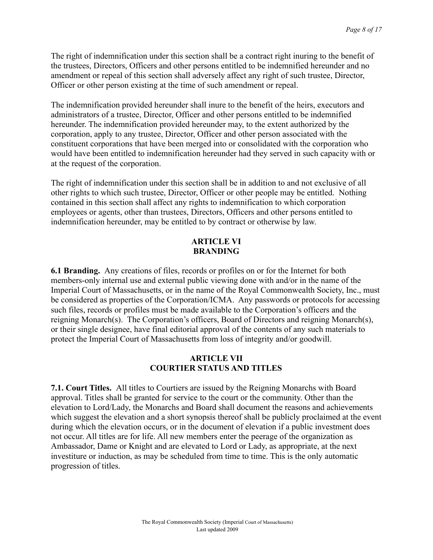The right of indemnification under this section shall be a contract right inuring to the benefit of the trustees, Directors, Officers and other persons entitled to be indemnified hereunder and no amendment or repeal of this section shall adversely affect any right of such trustee, Director, Officer or other person existing at the time of such amendment or repeal.

The indemnification provided hereunder shall inure to the benefit of the heirs, executors and administrators of a trustee, Director, Officer and other persons entitled to be indemnified hereunder. The indemnification provided hereunder may, to the extent authorized by the corporation, apply to any trustee, Director, Officer and other person associated with the constituent corporations that have been merged into or consolidated with the corporation who would have been entitled to indemnification hereunder had they served in such capacity with or at the request of the corporation.

The right of indemnification under this section shall be in addition to and not exclusive of all other rights to which such trustee, Director, Officer or other people may be entitled. Nothing contained in this section shall affect any rights to indemnification to which corporation employees or agents, other than trustees, Directors, Officers and other persons entitled to indemnification hereunder, may be entitled to by contract or otherwise by law.

# **ARTICLE VI BRANDING**

**6.1 Branding.** Any creations of files, records or profiles on or for the Internet for both members-only internal use and external public viewing done with and/or in the name of the Imperial Court of Massachusetts, or in the name of the Royal Commonwealth Society, Inc., must be considered as properties of the Corporation/ICMA. Any passwords or protocols for accessing such files, records or profiles must be made available to the Corporation's officers and the reigning Monarch(s). The Corporation's officers, Board of Directors and reigning Monarch(s), or their single designee, have final editorial approval of the contents of any such materials to protect the Imperial Court of Massachusetts from loss of integrity and/or goodwill.

# **ARTICLE VII COURTIER STATUS AND TITLES**

**7.1. Court Titles.** All titles to Courtiers are issued by the Reigning Monarchs with Board approval. Titles shall be granted for service to the court or the community. Other than the elevation to Lord/Lady, the Monarchs and Board shall document the reasons and achievements which suggest the elevation and a short synopsis thereof shall be publicly proclaimed at the event during which the elevation occurs, or in the document of elevation if a public investment does not occur. All titles are for life. All new members enter the peerage of the organization as Ambassador, Dame or Knight and are elevated to Lord or Lady, as appropriate, at the next investiture or induction, as may be scheduled from time to time. This is the only automatic progression of titles.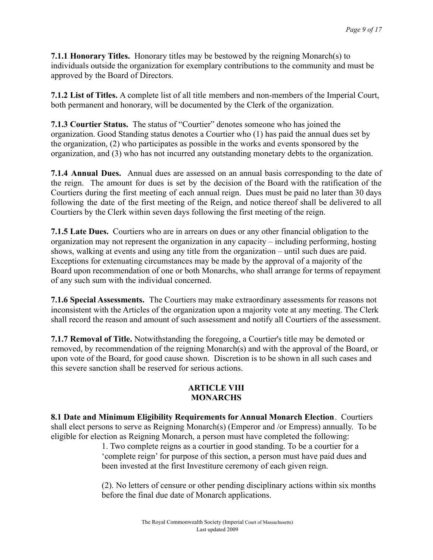**7.1.1 Honorary Titles.** Honorary titles may be bestowed by the reigning Monarch(s) to individuals outside the organization for exemplary contributions to the community and must be approved by the Board of Directors.

**7.1.2 List of Titles.** A complete list of all title members and non-members of the Imperial Court, both permanent and honorary, will be documented by the Clerk of the organization.

**7.1.3 Courtier Status.** The status of "Courtier" denotes someone who has joined the organization. Good Standing status denotes a Courtier who (1) has paid the annual dues set by the organization, (2) who participates as possible in the works and events sponsored by the organization, and (3) who has not incurred any outstanding monetary debts to the organization.

**7.1.4 Annual Dues.** Annual dues are assessed on an annual basis corresponding to the date of the reign. The amount for dues is set by the decision of the Board with the ratification of the Courtiers during the first meeting of each annual reign. Dues must be paid no later than 30 days following the date of the first meeting of the Reign, and notice thereof shall be delivered to all Courtiers by the Clerk within seven days following the first meeting of the reign.

**7.1.5 Late Dues.** Courtiers who are in arrears on dues or any other financial obligation to the organization may not represent the organization in any capacity – including performing, hosting shows, walking at events and using any title from the organization – until such dues are paid. Exceptions for extenuating circumstances may be made by the approval of a majority of the Board upon recommendation of one or both Monarchs, who shall arrange for terms of repayment of any such sum with the individual concerned.

**7.1.6 Special Assessments.** The Courtiers may make extraordinary assessments for reasons not inconsistent with the Articles of the organization upon a majority vote at any meeting. The Clerk shall record the reason and amount of such assessment and notify all Courtiers of the assessment.

**7.1.7 Removal of Title.** Notwithstanding the foregoing, a Courtier's title may be demoted or removed, by recommendation of the reigning Monarch(s) and with the approval of the Board, or upon vote of the Board, for good cause shown. Discretion is to be shown in all such cases and this severe sanction shall be reserved for serious actions.

#### **ARTICLE VIII MONARCHS**

**8.1 Date and Minimum Eligibility Requirements for Annual Monarch Election**. Courtiers shall elect persons to serve as Reigning Monarch(s) (Emperor and /or Empress) annually. To be eligible for election as Reigning Monarch, a person must have completed the following:

> 1. Two complete reigns as a courtier in good standing. To be a courtier for a 'complete reign' for purpose of this section, a person must have paid dues and been invested at the first Investiture ceremony of each given reign.

(2). No letters of censure or other pending disciplinary actions within six months before the final due date of Monarch applications.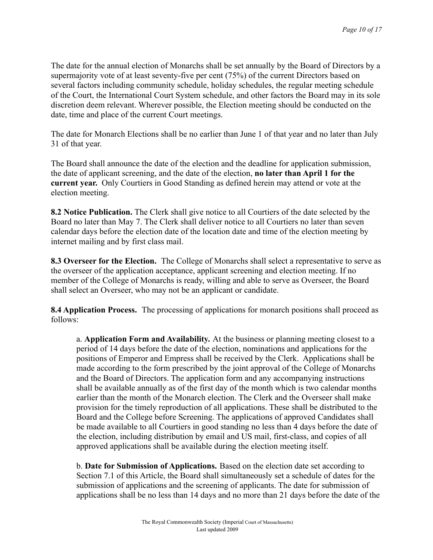The date for the annual election of Monarchs shall be set annually by the Board of Directors by a supermajority vote of at least seventy-five per cent (75%) of the current Directors based on several factors including community schedule, holiday schedules, the regular meeting schedule of the Court, the International Court System schedule, and other factors the Board may in its sole discretion deem relevant. Wherever possible, the Election meeting should be conducted on the date, time and place of the current Court meetings.

The date for Monarch Elections shall be no earlier than June 1 of that year and no later than July 31 of that year.

The Board shall announce the date of the election and the deadline for application submission, the date of applicant screening, and the date of the election, **no later than April 1 for the current year.** Only Courtiers in Good Standing as defined herein may attend or vote at the election meeting.

**8.2 Notice Publication.** The Clerk shall give notice to all Courtiers of the date selected by the Board no later than May 7. The Clerk shall deliver notice to all Courtiers no later than seven calendar days before the election date of the location date and time of the election meeting by internet mailing and by first class mail.

**8.3 Overseer for the Election.** The College of Monarchs shall select a representative to serve as the overseer of the application acceptance, applicant screening and election meeting. If no member of the College of Monarchs is ready, willing and able to serve as Overseer, the Board shall select an Overseer, who may not be an applicant or candidate.

**8.4 Application Process.** The processing of applications for monarch positions shall proceed as follows:

a. **Application Form and Availability.** At the business or planning meeting closest to a period of 14 days before the date of the election, nominations and applications for the positions of Emperor and Empress shall be received by the Clerk. Applications shall be made according to the form prescribed by the joint approval of the College of Monarchs and the Board of Directors. The application form and any accompanying instructions shall be available annually as of the first day of the month which is two calendar months earlier than the month of the Monarch election. The Clerk and the Overseer shall make provision for the timely reproduction of all applications. These shall be distributed to the Board and the College before Screening. The applications of approved Candidates shall be made available to all Courtiers in good standing no less than 4 days before the date of the election, including distribution by email and US mail, first-class, and copies of all approved applications shall be available during the election meeting itself.

b. **Date for Submission of Applications.** Based on the election date set according to Section 7.1 of this Article, the Board shall simultaneously set a schedule of dates for the submission of applications and the screening of applicants. The date for submission of applications shall be no less than 14 days and no more than 21 days before the date of the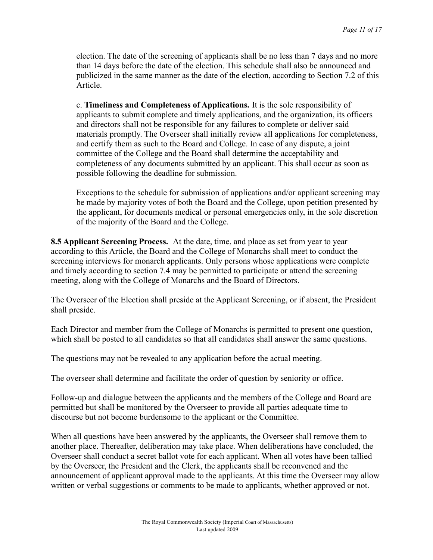election. The date of the screening of applicants shall be no less than 7 days and no more than 14 days before the date of the election. This schedule shall also be announced and publicized in the same manner as the date of the election, according to Section 7.2 of this Article.

c. **Timeliness and Completeness of Applications.** It is the sole responsibility of applicants to submit complete and timely applications, and the organization, its officers and directors shall not be responsible for any failures to complete or deliver said materials promptly. The Overseer shall initially review all applications for completeness, and certify them as such to the Board and College. In case of any dispute, a joint committee of the College and the Board shall determine the acceptability and completeness of any documents submitted by an applicant. This shall occur as soon as possible following the deadline for submission.

Exceptions to the schedule for submission of applications and/or applicant screening may be made by majority votes of both the Board and the College, upon petition presented by the applicant, for documents medical or personal emergencies only, in the sole discretion of the majority of the Board and the College.

**8.5 Applicant Screening Process.** At the date, time, and place as set from year to year according to this Article, the Board and the College of Monarchs shall meet to conduct the screening interviews for monarch applicants. Only persons whose applications were complete and timely according to section 7.4 may be permitted to participate or attend the screening meeting, along with the College of Monarchs and the Board of Directors.

The Overseer of the Election shall preside at the Applicant Screening, or if absent, the President shall preside.

Each Director and member from the College of Monarchs is permitted to present one question, which shall be posted to all candidates so that all candidates shall answer the same questions.

The questions may not be revealed to any application before the actual meeting.

The overseer shall determine and facilitate the order of question by seniority or office.

Follow-up and dialogue between the applicants and the members of the College and Board are permitted but shall be monitored by the Overseer to provide all parties adequate time to discourse but not become burdensome to the applicant or the Committee.

When all questions have been answered by the applicants, the Overseer shall remove them to another place. Thereafter, deliberation may take place. When deliberations have concluded, the Overseer shall conduct a secret ballot vote for each applicant. When all votes have been tallied by the Overseer, the President and the Clerk, the applicants shall be reconvened and the announcement of applicant approval made to the applicants. At this time the Overseer may allow written or verbal suggestions or comments to be made to applicants, whether approved or not.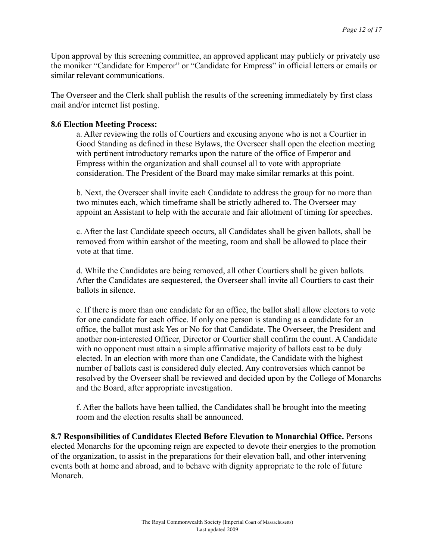Upon approval by this screening committee, an approved applicant may publicly or privately use the moniker "Candidate for Emperor" or "Candidate for Empress" in official letters or emails or similar relevant communications.

The Overseer and the Clerk shall publish the results of the screening immediately by first class mail and/or internet list posting.

#### **8.6 Election Meeting Process:**

a. After reviewing the rolls of Courtiers and excusing anyone who is not a Courtier in Good Standing as defined in these Bylaws, the Overseer shall open the election meeting with pertinent introductory remarks upon the nature of the office of Emperor and Empress within the organization and shall counsel all to vote with appropriate consideration. The President of the Board may make similar remarks at this point.

b. Next, the Overseer shall invite each Candidate to address the group for no more than two minutes each, which timeframe shall be strictly adhered to. The Overseer may appoint an Assistant to help with the accurate and fair allotment of timing for speeches.

c. After the last Candidate speech occurs, all Candidates shall be given ballots, shall be removed from within earshot of the meeting, room and shall be allowed to place their vote at that time.

d. While the Candidates are being removed, all other Courtiers shall be given ballots. After the Candidates are sequestered, the Overseer shall invite all Courtiers to cast their ballots in silence.

e. If there is more than one candidate for an office, the ballot shall allow electors to vote for one candidate for each office. If only one person is standing as a candidate for an office, the ballot must ask Yes or No for that Candidate. The Overseer, the President and another non-interested Officer, Director or Courtier shall confirm the count. A Candidate with no opponent must attain a simple affirmative majority of ballots cast to be duly elected. In an election with more than one Candidate, the Candidate with the highest number of ballots cast is considered duly elected. Any controversies which cannot be resolved by the Overseer shall be reviewed and decided upon by the College of Monarchs and the Board, after appropriate investigation.

f. After the ballots have been tallied, the Candidates shall be brought into the meeting room and the election results shall be announced.

**8.7 Responsibilities of Candidates Elected Before Elevation to Monarchial Office.** Persons elected Monarchs for the upcoming reign are expected to devote their energies to the promotion of the organization, to assist in the preparations for their elevation ball, and other intervening events both at home and abroad, and to behave with dignity appropriate to the role of future Monarch.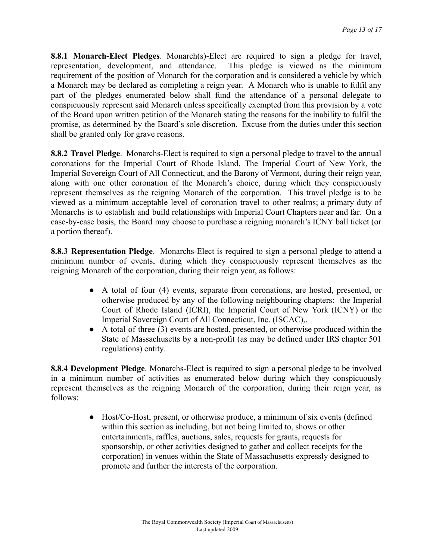**8.8.1 Monarch-Elect Pledges**. Monarch(s)-Elect are required to sign a pledge for travel, representation, development, and attendance. This pledge is viewed as the minimum requirement of the position of Monarch for the corporation and is considered a vehicle by which a Monarch may be declared as completing a reign year. A Monarch who is unable to fulfil any part of the pledges enumerated below shall fund the attendance of a personal delegate to conspicuously represent said Monarch unless specifically exempted from this provision by a vote of the Board upon written petition of the Monarch stating the reasons for the inability to fulfil the promise, as determined by the Board's sole discretion. Excuse from the duties under this section shall be granted only for grave reasons.

**8.8.2 Travel Pledge**. Monarchs-Elect is required to sign a personal pledge to travel to the annual coronations for the Imperial Court of Rhode Island, The Imperial Court of New York, the Imperial Sovereign Court of All Connecticut, and the Barony of Vermont, during their reign year, along with one other coronation of the Monarch's choice, during which they conspicuously represent themselves as the reigning Monarch of the corporation. This travel pledge is to be viewed as a minimum acceptable level of coronation travel to other realms; a primary duty of Monarchs is to establish and build relationships with Imperial Court Chapters near and far. On a case-by-case basis, the Board may choose to purchase a reigning monarch's ICNY ball ticket (or a portion thereof).

**8.8.3 Representation Pledge**. Monarchs-Elect is required to sign a personal pledge to attend a minimum number of events, during which they conspicuously represent themselves as the reigning Monarch of the corporation, during their reign year, as follows:

- A total of four (4) events, separate from coronations, are hosted, presented, or otherwise produced by any of the following neighbouring chapters: the Imperial Court of Rhode Island (ICRI), the Imperial Court of New York (ICNY) or the Imperial Sovereign Court of All Connecticut, Inc. (ISCAC),.
- A total of three (3) events are hosted, presented, or otherwise produced within the State of Massachusetts by a non-profit (as may be defined under IRS chapter 501 regulations) entity.

**8.8.4 Development Pledge**. Monarchs-Elect is required to sign a personal pledge to be involved in a minimum number of activities as enumerated below during which they conspicuously represent themselves as the reigning Monarch of the corporation, during their reign year, as follows:

> • Host/Co-Host, present, or otherwise produce, a minimum of six events (defined within this section as including, but not being limited to, shows or other entertainments, raffles, auctions, sales, requests for grants, requests for sponsorship, or other activities designed to gather and collect receipts for the corporation) in venues within the State of Massachusetts expressly designed to promote and further the interests of the corporation.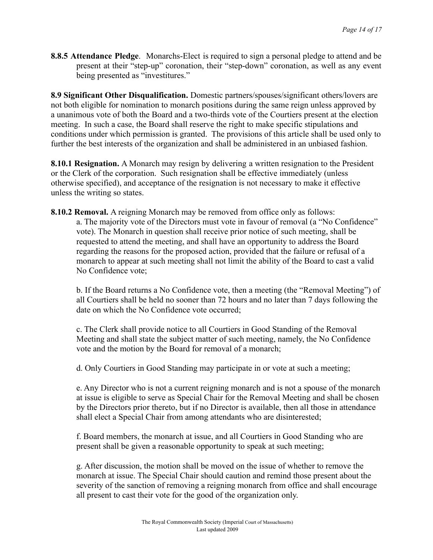**8.8.5 Attendance Pledge**. Monarchs-Elect is required to sign a personal pledge to attend and be present at their "step-up" coronation, their "step-down" coronation, as well as any event being presented as "investitures."

**8.9 Significant Other Disqualification.** Domestic partners/spouses/significant others/lovers are not both eligible for nomination to monarch positions during the same reign unless approved by a unanimous vote of both the Board and a two-thirds vote of the Courtiers present at the election meeting. In such a case, the Board shall reserve the right to make specific stipulations and conditions under which permission is granted. The provisions of this article shall be used only to further the best interests of the organization and shall be administered in an unbiased fashion.

**8.10.1 Resignation.** A Monarch may resign by delivering a written resignation to the President or the Clerk of the corporation. Such resignation shall be effective immediately (unless otherwise specified), and acceptance of the resignation is not necessary to make it effective unless the writing so states.

**8.10.2 Removal.** A reigning Monarch may be removed from office only as follows: a. The majority vote of the Directors must vote in favour of removal (a "No Confidence" vote). The Monarch in question shall receive prior notice of such meeting, shall be requested to attend the meeting, and shall have an opportunity to address the Board regarding the reasons for the proposed action, provided that the failure or refusal of a monarch to appear at such meeting shall not limit the ability of the Board to cast a valid No Confidence vote;

b. If the Board returns a No Confidence vote, then a meeting (the "Removal Meeting") of all Courtiers shall be held no sooner than 72 hours and no later than 7 days following the date on which the No Confidence vote occurred;

c. The Clerk shall provide notice to all Courtiers in Good Standing of the Removal Meeting and shall state the subject matter of such meeting, namely, the No Confidence vote and the motion by the Board for removal of a monarch;

d. Only Courtiers in Good Standing may participate in or vote at such a meeting;

e. Any Director who is not a current reigning monarch and is not a spouse of the monarch at issue is eligible to serve as Special Chair for the Removal Meeting and shall be chosen by the Directors prior thereto, but if no Director is available, then all those in attendance shall elect a Special Chair from among attendants who are disinterested;

f. Board members, the monarch at issue, and all Courtiers in Good Standing who are present shall be given a reasonable opportunity to speak at such meeting;

g. After discussion, the motion shall be moved on the issue of whether to remove the monarch at issue. The Special Chair should caution and remind those present about the severity of the sanction of removing a reigning monarch from office and shall encourage all present to cast their vote for the good of the organization only.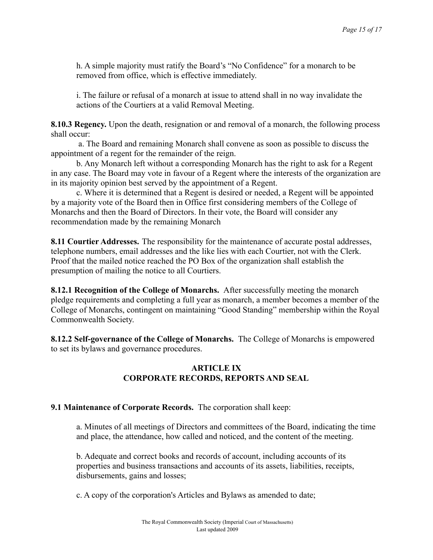h. A simple majority must ratify the Board's "No Confidence" for a monarch to be removed from office, which is effective immediately.

i. The failure or refusal of a monarch at issue to attend shall in no way invalidate the actions of the Courtiers at a valid Removal Meeting.

**8.10.3 Regency.** Upon the death, resignation or and removal of a monarch, the following process shall occur:

a. The Board and remaining Monarch shall convene as soon as possible to discuss the appointment of a regent for the remainder of the reign.

b. Any Monarch left without a corresponding Monarch has the right to ask for a Regent in any case. The Board may vote in favour of a Regent where the interests of the organization are in its majority opinion best served by the appointment of a Regent.

c. Where it is determined that a Regent is desired or needed, a Regent will be appointed by a majority vote of the Board then in Office first considering members of the College of Monarchs and then the Board of Directors. In their vote, the Board will consider any recommendation made by the remaining Monarch

**8.11 Courtier Addresses.** The responsibility for the maintenance of accurate postal addresses, telephone numbers, email addresses and the like lies with each Courtier, not with the Clerk. Proof that the mailed notice reached the PO Box of the organization shall establish the presumption of mailing the notice to all Courtiers.

**8.12.1 Recognition of the College of Monarchs.** After successfully meeting the monarch pledge requirements and completing a full year as monarch, a member becomes a member of the College of Monarchs, contingent on maintaining "Good Standing" membership within the Royal Commonwealth Society.

**8.12.2 Self-governance of the College of Monarchs.** The College of Monarchs is empowered to set its bylaws and governance procedures.

# **ARTICLE IX CORPORATE RECORDS, REPORTS AND SEAL**

# **9.1 Maintenance of Corporate Records.** The corporation shall keep:

a. Minutes of all meetings of Directors and committees of the Board, indicating the time and place, the attendance, how called and noticed, and the content of the meeting.

b. Adequate and correct books and records of account, including accounts of its properties and business transactions and accounts of its assets, liabilities, receipts, disbursements, gains and losses;

c. A copy of the corporation's Articles and Bylaws as amended to date;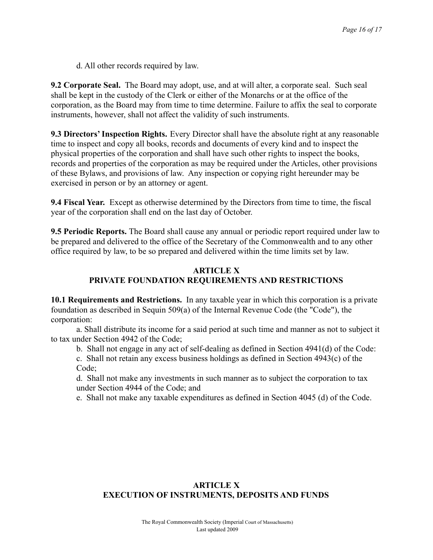d. All other records required by law.

**9.2 Corporate Seal.** The Board may adopt, use, and at will alter, a corporate seal. Such seal shall be kept in the custody of the Clerk or either of the Monarchs or at the office of the corporation, as the Board may from time to time determine. Failure to affix the seal to corporate instruments, however, shall not affect the validity of such instruments.

**9.3 Directors' Inspection Rights.** Every Director shall have the absolute right at any reasonable time to inspect and copy all books, records and documents of every kind and to inspect the physical properties of the corporation and shall have such other rights to inspect the books, records and properties of the corporation as may be required under the Articles, other provisions of these Bylaws, and provisions of law. Any inspection or copying right hereunder may be exercised in person or by an attorney or agent.

**9.4 Fiscal Year.** Except as otherwise determined by the Directors from time to time, the fiscal year of the corporation shall end on the last day of October.

**9.5 Periodic Reports.** The Board shall cause any annual or periodic report required under law to be prepared and delivered to the office of the Secretary of the Commonwealth and to any other office required by law, to be so prepared and delivered within the time limits set by law.

### **ARTICLE X PRIVATE FOUNDATION REQUIREMENTS AND RESTRICTIONS**

**10.1 Requirements and Restrictions.** In any taxable year in which this corporation is a private foundation as described in Sequin 509(a) of the Internal Revenue Code (the "Code"), the corporation:

a. Shall distribute its income for a said period at such time and manner as not to subject it to tax under Section 4942 of the Code;

b. Shall not engage in any act of self-dealing as defined in Section 4941(d) of the Code:

c. Shall not retain any excess business holdings as defined in Section 4943(c) of the Code;

d. Shall not make any investments in such manner as to subject the corporation to tax under Section 4944 of the Code; and

e. Shall not make any taxable expenditures as defined in Section 4045 (d) of the Code.

# **ARTICLE X EXECUTION OF INSTRUMENTS, DEPOSITS AND FUNDS**